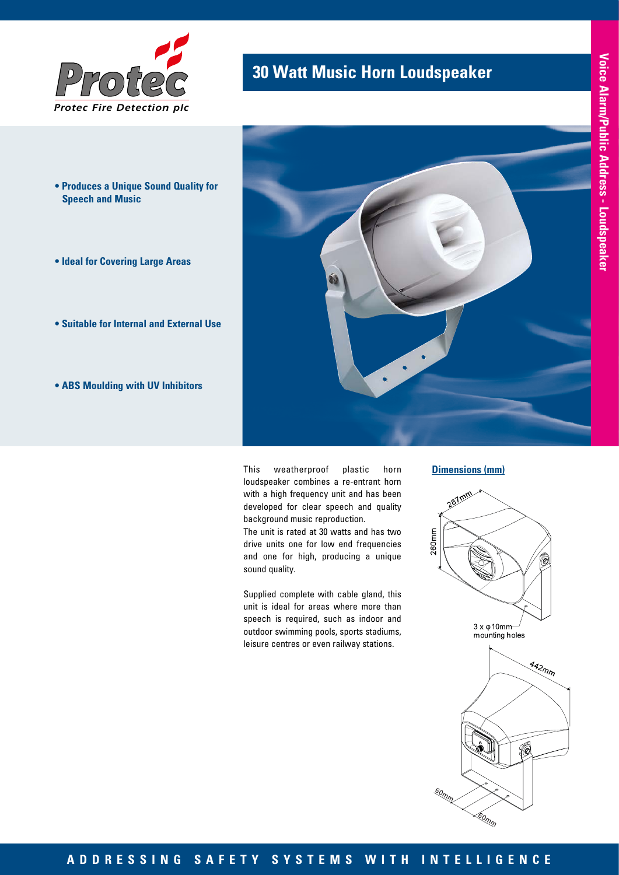

- **Produces a Unique Sound Quality for Speech and Music**
- **Ideal for Covering Large Areas**
- **Suitable for Internal and External Use**
- **ABS Moulding with UV Inhibitors**



This weatherproof plastic horn loudspeaker combines a re-entrant horn with a high frequency unit and has been developed for clear speech and quality background music reproduction.

The unit is rated at 30 watts and has two drive units one for low end frequencies and one for high, producing a unique sound quality.

Supplied complete with cable gland, this unit is ideal for areas where more than speech is required, such as indoor and outdoor swimming pools, sports stadiums, leisure centres or even railway stations.

#### **Dimensions (mm)**



so<sub>mm</sub>

60<sub>mm</sub>